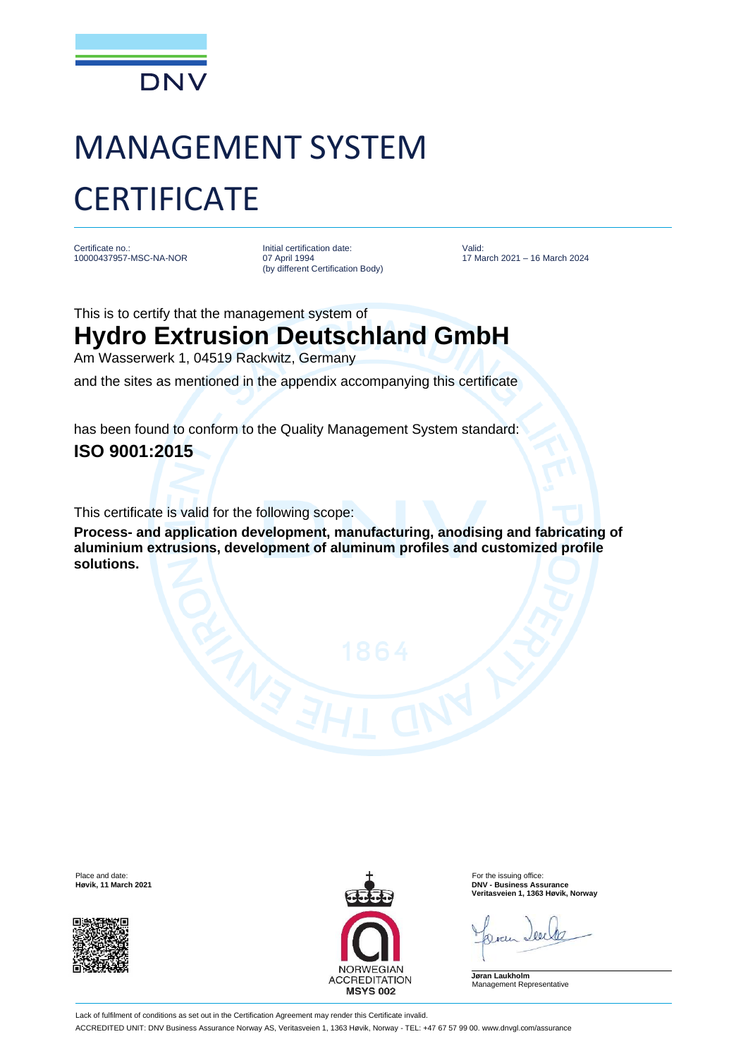

## MANAGEMENT SYSTEM **CERTIFICATE**

Certificate no.: 10000437957-MSC-NA-NOR Initial certification date: 07 April 1994 (by different Certification Body)

Valid: 17 March 2021 – 16 March 2024

This is to certify that the management system of

## **Hydro Extrusion Deutschland GmbH**

Am Wasserwerk 1, 04519 Rackwitz, Germany

and the sites as mentioned in the appendix accompanying this certificate

has been found to conform to the Quality Management System standard: **ISO 9001:2015**

This certificate is valid for the following scope:

**Process- and application development, manufacturing, anodising and fabricating of aluminium extrusions, development of aluminum profiles and customized profile solutions.**





**Høvik, 11 March 2021 DNV - Business Assurance Veritasveien 1, 1363 Høvik, Norway**

**Jøran Laukholm** Management Representative

Lack of fulfilment of conditions as set out in the Certification Agreement may render this Certificate invalid. ACCREDITED UNIT: DNV Business Assurance Norway AS, Veritasveien 1, 1363 Høvik, Norway - TEL: +47 67 57 99 00. www.dnvgl.com/assurance